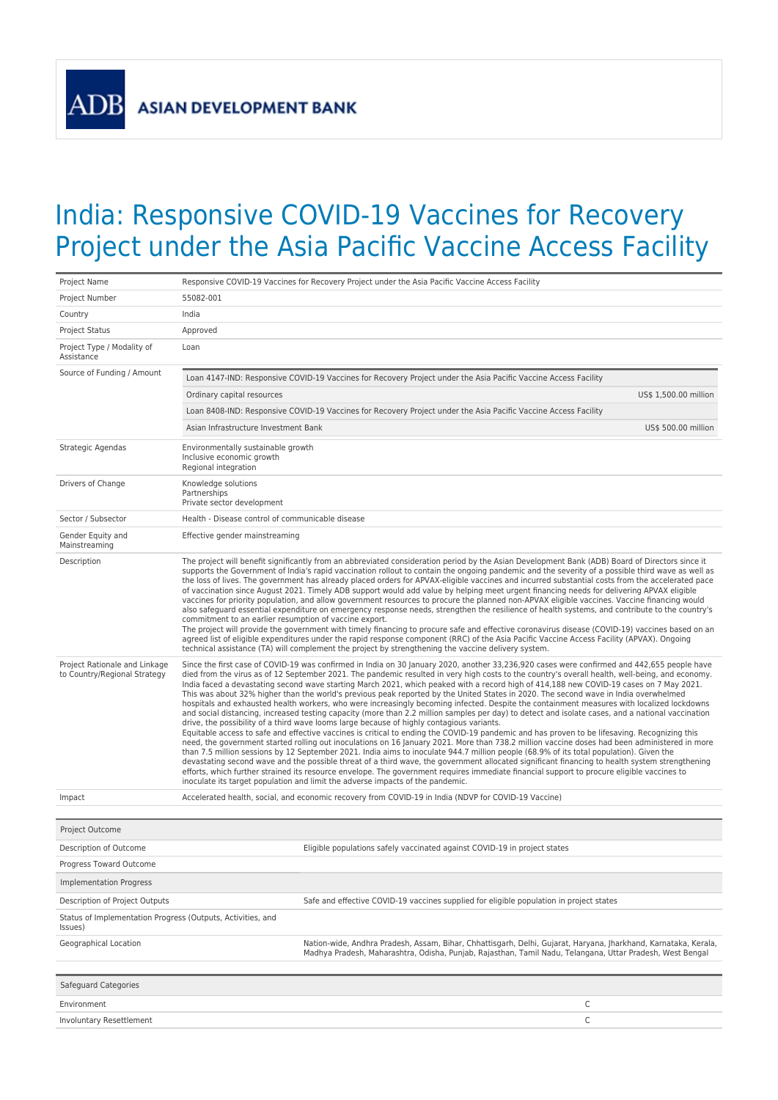**ADF** 

## India: Responsive COVID-19 Vaccines for Recovery Project under the Asia Pacific Vaccine Access Facility

| Project Name                                                           | Responsive COVID-19 Vaccines for Recovery Project under the Asia Pacific Vaccine Access Facility                                                                                                                                                                                                                                                                                                                                                                                                                                                                                                                                                                                                                                                                                                                                                                                                                                                                                                                                                                                                                                                                                                                                                                                                                                                                                                                                                                                                                                                                                                                                                                                                                                                                                                                 |  |  |  |  |
|------------------------------------------------------------------------|------------------------------------------------------------------------------------------------------------------------------------------------------------------------------------------------------------------------------------------------------------------------------------------------------------------------------------------------------------------------------------------------------------------------------------------------------------------------------------------------------------------------------------------------------------------------------------------------------------------------------------------------------------------------------------------------------------------------------------------------------------------------------------------------------------------------------------------------------------------------------------------------------------------------------------------------------------------------------------------------------------------------------------------------------------------------------------------------------------------------------------------------------------------------------------------------------------------------------------------------------------------------------------------------------------------------------------------------------------------------------------------------------------------------------------------------------------------------------------------------------------------------------------------------------------------------------------------------------------------------------------------------------------------------------------------------------------------------------------------------------------------------------------------------------------------|--|--|--|--|
| Project Number                                                         | 55082-001                                                                                                                                                                                                                                                                                                                                                                                                                                                                                                                                                                                                                                                                                                                                                                                                                                                                                                                                                                                                                                                                                                                                                                                                                                                                                                                                                                                                                                                                                                                                                                                                                                                                                                                                                                                                        |  |  |  |  |
| Country                                                                | India                                                                                                                                                                                                                                                                                                                                                                                                                                                                                                                                                                                                                                                                                                                                                                                                                                                                                                                                                                                                                                                                                                                                                                                                                                                                                                                                                                                                                                                                                                                                                                                                                                                                                                                                                                                                            |  |  |  |  |
| <b>Project Status</b>                                                  | Approved                                                                                                                                                                                                                                                                                                                                                                                                                                                                                                                                                                                                                                                                                                                                                                                                                                                                                                                                                                                                                                                                                                                                                                                                                                                                                                                                                                                                                                                                                                                                                                                                                                                                                                                                                                                                         |  |  |  |  |
| Project Type / Modality of<br>Assistance                               | Loan                                                                                                                                                                                                                                                                                                                                                                                                                                                                                                                                                                                                                                                                                                                                                                                                                                                                                                                                                                                                                                                                                                                                                                                                                                                                                                                                                                                                                                                                                                                                                                                                                                                                                                                                                                                                             |  |  |  |  |
| Source of Funding / Amount                                             | Loan 4147-IND: Responsive COVID-19 Vaccines for Recovery Project under the Asia Pacific Vaccine Access Facility                                                                                                                                                                                                                                                                                                                                                                                                                                                                                                                                                                                                                                                                                                                                                                                                                                                                                                                                                                                                                                                                                                                                                                                                                                                                                                                                                                                                                                                                                                                                                                                                                                                                                                  |  |  |  |  |
|                                                                        | Ordinary capital resources<br>US\$ 1,500.00 million                                                                                                                                                                                                                                                                                                                                                                                                                                                                                                                                                                                                                                                                                                                                                                                                                                                                                                                                                                                                                                                                                                                                                                                                                                                                                                                                                                                                                                                                                                                                                                                                                                                                                                                                                              |  |  |  |  |
|                                                                        | Loan 8408-IND: Responsive COVID-19 Vaccines for Recovery Project under the Asia Pacific Vaccine Access Facility                                                                                                                                                                                                                                                                                                                                                                                                                                                                                                                                                                                                                                                                                                                                                                                                                                                                                                                                                                                                                                                                                                                                                                                                                                                                                                                                                                                                                                                                                                                                                                                                                                                                                                  |  |  |  |  |
|                                                                        | Asian Infrastructure Investment Bank<br>US\$ 500.00 million                                                                                                                                                                                                                                                                                                                                                                                                                                                                                                                                                                                                                                                                                                                                                                                                                                                                                                                                                                                                                                                                                                                                                                                                                                                                                                                                                                                                                                                                                                                                                                                                                                                                                                                                                      |  |  |  |  |
| Strategic Agendas                                                      | Environmentally sustainable growth<br>Inclusive economic growth<br>Regional integration                                                                                                                                                                                                                                                                                                                                                                                                                                                                                                                                                                                                                                                                                                                                                                                                                                                                                                                                                                                                                                                                                                                                                                                                                                                                                                                                                                                                                                                                                                                                                                                                                                                                                                                          |  |  |  |  |
| Drivers of Change                                                      | Knowledge solutions<br>Partnerships<br>Private sector development                                                                                                                                                                                                                                                                                                                                                                                                                                                                                                                                                                                                                                                                                                                                                                                                                                                                                                                                                                                                                                                                                                                                                                                                                                                                                                                                                                                                                                                                                                                                                                                                                                                                                                                                                |  |  |  |  |
| Sector / Subsector                                                     | Health - Disease control of communicable disease                                                                                                                                                                                                                                                                                                                                                                                                                                                                                                                                                                                                                                                                                                                                                                                                                                                                                                                                                                                                                                                                                                                                                                                                                                                                                                                                                                                                                                                                                                                                                                                                                                                                                                                                                                 |  |  |  |  |
| Gender Equity and<br>Mainstreaming                                     | Effective gender mainstreaming                                                                                                                                                                                                                                                                                                                                                                                                                                                                                                                                                                                                                                                                                                                                                                                                                                                                                                                                                                                                                                                                                                                                                                                                                                                                                                                                                                                                                                                                                                                                                                                                                                                                                                                                                                                   |  |  |  |  |
| Description                                                            | The project will benefit significantly from an abbreviated consideration period by the Asian Development Bank (ADB) Board of Directors since it<br>supports the Government of India's rapid vaccination rollout to contain the ongoing pandemic and the severity of a possible third wave as well as<br>the loss of lives. The government has already placed orders for APVAX-eligible vaccines and incurred substantial costs from the accelerated pace<br>of vaccination since August 2021. Timely ADB support would add value by helping meet urgent financing needs for delivering APVAX eligible<br>vaccines for priority population, and allow government resources to procure the planned non-APVAX eligible vaccines. Vaccine financing would<br>also safeguard essential expenditure on emergency response needs, strengthen the resilience of health systems, and contribute to the country's<br>commitment to an earlier resumption of vaccine export.<br>The proiect will provide the government with timely financing to procure safe and effective coronavirus disease (COVID-19) vaccines based on an<br>agreed list of eligible expenditures under the rapid response component (RRC) of the Asia Pacific Vaccine Access Facility (APVAX). Ongoing<br>technical assistance (TA) will complement the project by strengthening the vaccine delivery system.                                                                                                                                                                                                                                                                                                                                                                                                                                        |  |  |  |  |
| Project Rationale and Linkage<br>to Country/Regional Strategy          | Since the first case of COVID-19 was confirmed in India on 30 January 2020, another 33,236,920 cases were confirmed and 442,655 people have<br>died from the virus as of 12 September 2021. The pandemic resulted in very high costs to the country's overall health, well-being, and economy.<br>India faced a devastating second wave starting March 2021, which peaked with a record high of 414,188 new COVID-19 cases on 7 May 2021.<br>This was about 32% higher than the world's previous peak reported by the United States in 2020. The second wave in India overwhelmed<br>hospitals and exhausted health workers, who were increasingly becoming infected. Despite the containment measures with localized lockdowns<br>and social distancing, increased testing capacity (more than 2.2 million samples per day) to detect and isolate cases, and a national vaccination<br>drive, the possibility of a third wave looms large because of highly contagious variants.<br>Equitable access to safe and effective vaccines is critical to ending the COVID-19 pandemic and has proven to be lifesaving. Recognizing this<br>need, the government started rolling out inoculations on 16 January 2021. More than 738.2 million vaccine doses had been administered in more<br>than 7.5 million sessions by 12 September 2021. India aims to inoculate 944.7 million people (68.9% of its total population). Given the<br>devastating second wave and the possible threat of a third wave, the government allocated significant financing to health system strengthening<br>efforts, which further strained its resource envelope. The government requires immediate financial support to procure eligible vaccines to<br>inoculate its target population and limit the adverse impacts of the pandemic. |  |  |  |  |
| Impact                                                                 | Accelerated health, social, and economic recovery from COVID-19 in India (NDVP for COVID-19 Vaccine)                                                                                                                                                                                                                                                                                                                                                                                                                                                                                                                                                                                                                                                                                                                                                                                                                                                                                                                                                                                                                                                                                                                                                                                                                                                                                                                                                                                                                                                                                                                                                                                                                                                                                                             |  |  |  |  |
|                                                                        |                                                                                                                                                                                                                                                                                                                                                                                                                                                                                                                                                                                                                                                                                                                                                                                                                                                                                                                                                                                                                                                                                                                                                                                                                                                                                                                                                                                                                                                                                                                                                                                                                                                                                                                                                                                                                  |  |  |  |  |
| Project Outcome                                                        |                                                                                                                                                                                                                                                                                                                                                                                                                                                                                                                                                                                                                                                                                                                                                                                                                                                                                                                                                                                                                                                                                                                                                                                                                                                                                                                                                                                                                                                                                                                                                                                                                                                                                                                                                                                                                  |  |  |  |  |
| Description of Outcome                                                 | Eligible populations safely vaccinated against COVID-19 in project states                                                                                                                                                                                                                                                                                                                                                                                                                                                                                                                                                                                                                                                                                                                                                                                                                                                                                                                                                                                                                                                                                                                                                                                                                                                                                                                                                                                                                                                                                                                                                                                                                                                                                                                                        |  |  |  |  |
| Progress Toward Outcome                                                |                                                                                                                                                                                                                                                                                                                                                                                                                                                                                                                                                                                                                                                                                                                                                                                                                                                                                                                                                                                                                                                                                                                                                                                                                                                                                                                                                                                                                                                                                                                                                                                                                                                                                                                                                                                                                  |  |  |  |  |
| <b>Implementation Progress</b>                                         |                                                                                                                                                                                                                                                                                                                                                                                                                                                                                                                                                                                                                                                                                                                                                                                                                                                                                                                                                                                                                                                                                                                                                                                                                                                                                                                                                                                                                                                                                                                                                                                                                                                                                                                                                                                                                  |  |  |  |  |
| Description of Project Outputs                                         | Safe and effective COVID-19 vaccines supplied for eligible population in project states                                                                                                                                                                                                                                                                                                                                                                                                                                                                                                                                                                                                                                                                                                                                                                                                                                                                                                                                                                                                                                                                                                                                                                                                                                                                                                                                                                                                                                                                                                                                                                                                                                                                                                                          |  |  |  |  |
| Status of Implementation Progress (Outputs, Activities, and<br>Issues) |                                                                                                                                                                                                                                                                                                                                                                                                                                                                                                                                                                                                                                                                                                                                                                                                                                                                                                                                                                                                                                                                                                                                                                                                                                                                                                                                                                                                                                                                                                                                                                                                                                                                                                                                                                                                                  |  |  |  |  |
| Geographical Location                                                  | Nation-wide, Andhra Pradesh, Assam, Bihar, Chhattisgarh, Delhi, Gujarat, Haryana, Jharkhand, Karnataka, Kerala,<br>Madhya Pradesh, Maharashtra, Odisha, Punjab, Rajasthan, Tamil Nadu, Telangana, Uttar Pradesh, West Bengal                                                                                                                                                                                                                                                                                                                                                                                                                                                                                                                                                                                                                                                                                                                                                                                                                                                                                                                                                                                                                                                                                                                                                                                                                                                                                                                                                                                                                                                                                                                                                                                     |  |  |  |  |
| Safeguard Categories                                                   |                                                                                                                                                                                                                                                                                                                                                                                                                                                                                                                                                                                                                                                                                                                                                                                                                                                                                                                                                                                                                                                                                                                                                                                                                                                                                                                                                                                                                                                                                                                                                                                                                                                                                                                                                                                                                  |  |  |  |  |
| Environment                                                            | С                                                                                                                                                                                                                                                                                                                                                                                                                                                                                                                                                                                                                                                                                                                                                                                                                                                                                                                                                                                                                                                                                                                                                                                                                                                                                                                                                                                                                                                                                                                                                                                                                                                                                                                                                                                                                |  |  |  |  |
| Involuntary Resettlement                                               | С                                                                                                                                                                                                                                                                                                                                                                                                                                                                                                                                                                                                                                                                                                                                                                                                                                                                                                                                                                                                                                                                                                                                                                                                                                                                                                                                                                                                                                                                                                                                                                                                                                                                                                                                                                                                                |  |  |  |  |